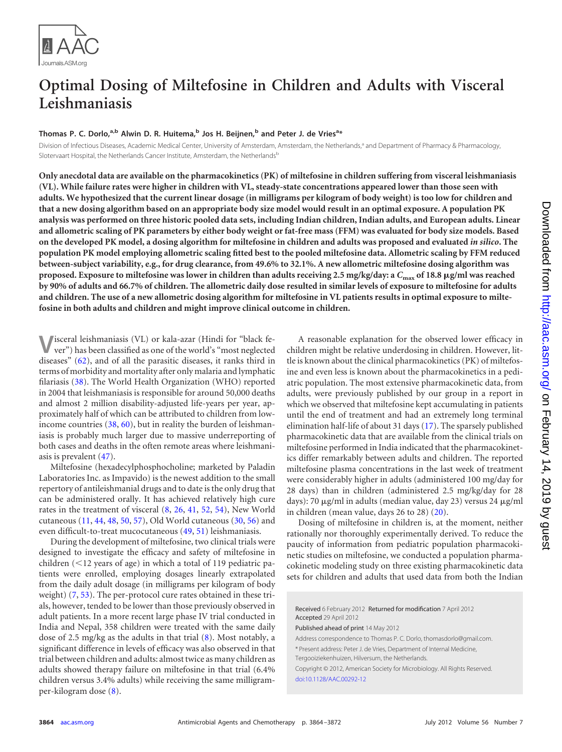

# **Optimal Dosing of Miltefosine in Children and Adults with Visceral Leishmaniasis**

## **Thomas P. C. Dorlo, a,b Alwin D. R. Huitema, <sup>b</sup> Jos H. Beijnen, <sup>b</sup> and Peter J. de Vriesa \***

Division of Infectious Diseases, Academic Medical Center, University of Amsterdam, Amsterdam, the Netherlands,<sup>a</sup> and Department of Pharmacy & Pharmacology, Slotervaart Hospital, the Netherlands Cancer Institute, Amsterdam, the Netherlands<sup>b</sup>

**Only anecdotal data are available on the pharmacokinetics (PK) of miltefosine in children suffering from visceral leishmaniasis (VL). While failure rates were higher in children with VL, steady-state concentrations appeared lower than those seen with adults. We hypothesized that the current linear dosage (in milligrams per kilogram of body weight) is too low for children and that a new dosing algorithm based on an appropriate body size model would result in an optimal exposure. A population PK analysis was performed on three historic pooled data sets, including Indian children, Indian adults, and European adults. Linear and allometric scaling of PK parameters by either body weight or fat-free mass (FFM) was evaluated for body size models. Based on the developed PK model, a dosing algorithm for miltefosine in children and adults was proposed and evaluated** *in silico***. The population PK model employing allometric scaling fitted best to the pooled miltefosine data. Allometric scaling by FFM reduced between-subject variability, e.g., for drug clearance, from 49.6% to 32.1%. A new allometric miltefosine dosing algorithm was proposed. Exposure to miltefosine was lower in children than adults receiving 2.5 mg/kg/day: a** *C***max of 18.8 g/ml was reached by 90% of adults and 66.7% of children. The allometric daily dose resulted in similar levels of exposure to miltefosine for adults and children. The use of a new allometric dosing algorithm for miltefosine in VL patients results in optimal exposure to miltefosine in both adults and children and might improve clinical outcome in children.**

**V**isceral leishmaniasis (VL) or kala-azar (Hindi for "black fever") has been classified as one of the world's "most neglected diseases" [\(62\)](#page-8-0), and of all the parasitic diseases, it ranks third in terms of morbidity and mortality after only malaria and lymphatic filariasis [\(38\)](#page-8-1). The World Health Organization (WHO) reported in 2004 that leishmaniasis is responsible for around 50,000 deaths and almost 2 million disability-adjusted life-years per year, approximately half of which can be attributed to children from lowincome countries [\(38,](#page-8-1) [60\)](#page-8-2), but in reality the burden of leishmaniasis is probably much larger due to massive underreporting of both cases and deaths in the often remote areas where leishmaniasis is prevalent [\(47\)](#page-8-3).

Miltefosine (hexadecylphosphocholine; marketed by Paladin Laboratories Inc. as Impavido) is the newest addition to the small repertory of antileishmanial drugs and to date is the only drug that can be administered orally. It has achieved relatively high cure rates in the treatment of visceral [\(8,](#page-7-0) [26,](#page-7-1) [41,](#page-8-4) [52,](#page-8-5) [54\)](#page-8-6), New World cutaneous [\(11,](#page-7-2) [44,](#page-8-7) [48,](#page-8-8) [50,](#page-8-9) [57\)](#page-8-10), Old World cutaneous [\(30,](#page-7-3) [56\)](#page-8-11) and even difficult-to-treat mucocutaneous [\(49,](#page-8-12) [51\)](#page-8-13) leishmaniasis.

During the development of miltefosine, two clinical trials were designed to investigate the efficacy and safety of miltefosine in children  $(12 \text{ years of age})$  in which a total of 119 pediatric patients were enrolled, employing dosages linearly extrapolated from the daily adult dosage (in milligrams per kilogram of body weight) [\(7,](#page-7-4) [53\)](#page-8-14). The per-protocol cure rates obtained in these trials, however, tended to be lower than those previously observed in adult patients. In a more recent large phase IV trial conducted in India and Nepal, 358 children were treated with the same daily dose of 2.5 mg/kg as the adults in that trial [\(8\)](#page-7-0). Most notably, a significant difference in levels of efficacy was also observed in that trial between children and adults: almost twice as many children as adults showed therapy failure on miltefosine in that trial (6.4% children versus 3.4% adults) while receiving the same milligramper-kilogram dose [\(8\)](#page-7-0).

A reasonable explanation for the observed lower efficacy in children might be relative underdosing in children. However, little is known about the clinical pharmacokinetics (PK) of miltefosine and even less is known about the pharmacokinetics in a pediatric population. The most extensive pharmacokinetic data, from adults, were previously published by our group in a report in which we observed that miltefosine kept accumulating in patients until the end of treatment and had an extremely long terminal elimination half-life of about 31 days [\(17\)](#page-7-5). The sparsely published pharmacokinetic data that are available from the clinical trials on miltefosine performed in India indicated that the pharmacokinetics differ remarkably between adults and children. The reported miltefosine plasma concentrations in the last week of treatment were considerably higher in adults (administered 100 mg/day for 28 days) than in children (administered 2.5 mg/kg/day for 28 days): 70 µg/ml in adults (median value, day 23) versus 24 µg/ml in children (mean value, days 26 to 28) [\(20\)](#page-7-6).

Dosing of miltefosine in children is, at the moment, neither rationally nor thoroughly experimentally derived. To reduce the paucity of information from pediatric population pharmacokinetic studies on miltefosine, we conducted a population pharmacokinetic modeling study on three existing pharmacokinetic data sets for children and adults that used data from both the Indian

Received 6 February 2012 Returned for modification 7 April 2012 Accepted 29 April 2012 Published ahead of print 14 May 2012 Address correspondence to Thomas P. C. Dorlo, thomasdorlo@gmail.com. \* Present address: Peter J. de Vries, Department of Internal Medicine, Tergooiziekenhuizen, Hilversum, the Netherlands. Copyright © 2012, American Society for Microbiology. All Rights Reserved. [doi:10.1128/AAC.00292-12](http://dx.doi.org/10.1128/AAC.00292-12)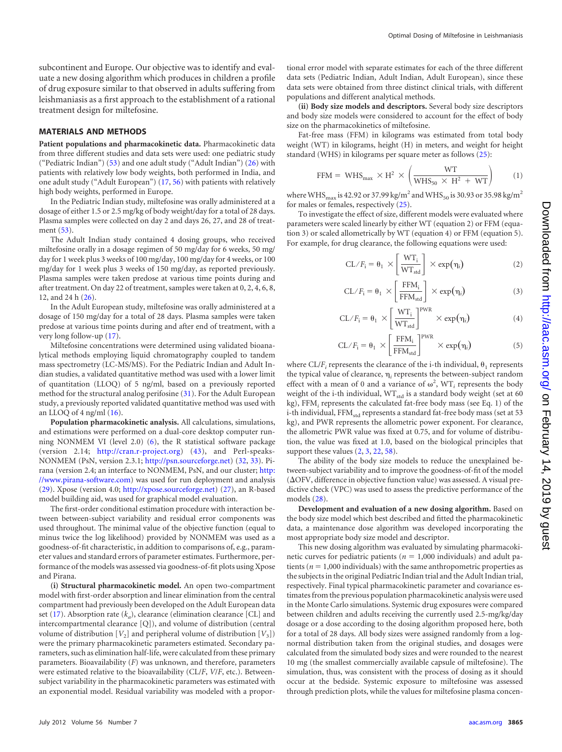subcontinent and Europe. Our objective was to identify and evaluate a new dosing algorithm which produces in children a profile of drug exposure similar to that observed in adults suffering from leishmaniasis as a first approach to the establishment of a rational treatment design for miltefosine.

#### **MATERIALS AND METHODS**

**Patient populations and pharmacokinetic data.** Pharmacokinetic data from three different studies and data sets were used: one pediatric study ("Pediatric Indian") [\(53\)](#page-8-14) and one adult study ("Adult Indian") [\(26\)](#page-7-1) with patients with relatively low body weights, both performed in India, and one adult study ("Adult European") [\(17,](#page-7-5) [56\)](#page-8-11) with patients with relatively high body weights, performed in Europe.

In the Pediatric Indian study, miltefosine was orally administered at a dosage of either 1.5 or 2.5 mg/kg of body weight/day for a total of 28 days. Plasma samples were collected on day 2 and days 26, 27, and 28 of treatment [\(53\)](#page-8-14).

The Adult Indian study contained 4 dosing groups, who received miltefosine orally in a dosage regimen of 50 mg/day for 6 weeks, 50 mg/ day for 1 week plus 3 weeks of 100 mg/day, 100 mg/day for 4 weeks, or 100 mg/day for 1 week plus 3 weeks of 150 mg/day, as reported previously. Plasma samples were taken predose at various time points during and after treatment. On day 22 of treatment, samples were taken at 0, 2, 4, 6, 8, 12, and 24 h [\(26\)](#page-7-1).

In the Adult European study, miltefosine was orally administered at a dosage of 150 mg/day for a total of 28 days. Plasma samples were taken predose at various time points during and after end of treatment, with a very long follow-up [\(17\)](#page-7-5).

Miltefosine concentrations were determined using validated bioanalytical methods employing liquid chromatography coupled to tandem mass spectrometry (LC-MS/MS). For the Pediatric Indian and Adult Indian studies, a validated quantitative method was used with a lower limit of quantitation (LLOQ) of 5 ng/ml, based on a previously reported method for the structural analog perifosine [\(31\)](#page-7-7). For the Adult European study, a previously reported validated quantitative method was used with an LLOQ of  $4$  ng/ml  $(16)$ .

**Population pharmacokinetic analysis.** All calculations, simulations, and estimations were performed on a dual-core desktop computer running NONMEM VI (level 2.0) [\(6\)](#page-7-9), the R statistical software package (version 2.14; http://cran.r-project.org) [\(43\)](#page-8-15), and Perl-speaks-NONMEM (PsN, version 2.3.1; http://psn.sourceforge.net) [\(32,](#page-7-10) [33\)](#page-7-11). Pirana (version 2.4; an interface to NONMEM, PsN, and our cluster; http: //www.pirana-software.com) was used for run deployment and analysis [\(29\)](#page-7-12). Xpose (version 4.0; http://xpose.sourceforge.net) [\(27\)](#page-7-13), an R-based model building aid, was used for graphical model evaluation.

The first-order conditional estimation procedure with interaction between between-subject variability and residual error components was used throughout. The minimal value of the objective function (equal to minus twice the log likelihood) provided by NONMEM was used as a goodness-of-fit characteristic, in addition to comparisons of, e.g., parameter values and standard errors of parameter estimates. Furthermore, performance of the models was assessed via goodness-of-fit plots using Xpose and Pirana.

**(i) Structural pharmacokinetic model.** An open two-compartment model with first-order absorption and linear elimination from the central compartment had previously been developed on the Adult European data set [\(17\)](#page-7-5). Absorption rate  $(k_a)$ , clearance (elimination clearance [CL] and intercompartmental clearance [Q]), and volume of distribution (central volume of distribution  $[V_2]$  and peripheral volume of distribution  $[V_3]$ ) were the primary pharmacokinetic parameters estimated. Secondary parameters, such as elimination half-life, were calculated from these primary parameters. Bioavailability (*F*) was unknown, and therefore, parameters were estimated relative to the bioavailability (CL/*F*, *V*/*F*, etc.). Betweensubject variability in the pharmacokinetic parameters was estimated with an exponential model. Residual variability was modeled with a proportional error model with separate estimates for each of the three different data sets (Pediatric Indian, Adult Indian, Adult European), since these data sets were obtained from three distinct clinical trials, with different populations and different analytical methods.

**(ii) Body size models and descriptors.** Several body size descriptors and body size models were considered to account for the effect of body size on the pharmacokinetics of miltefosine.

Fat-free mass (FFM) in kilograms was estimated from total body weight (WT) in kilograms, height (H) in meters, and weight for height standard (WHS) in kilograms per square meter as follows [\(25\)](#page-7-14):

$$
\text{FFM} = \text{WHS}_{\text{max}} \times \text{H}^2 \times \left(\frac{\text{WT}}{\text{WHS}_{50} \times \text{H}^2 + \text{WT}}\right) \tag{1}
$$

where WHS<sub>max</sub> is 42.92 or 37.99 kg/m<sup>2</sup> and WHS<sub>50</sub> is 30.93 or 35.98 kg/m<sup>2</sup> for males or females, respectively [\(25\)](#page-7-14).

To investigate the effect of size, different models were evaluated where parameters were scaled linearly by either WT (equation 2) or FFM (equation 3) or scaled allometrically by WT (equation 4) or FFM (equation 5). For example, for drug clearance, the following equations were used:

$$
CL/F_i = \theta_1 \times \left[\frac{WT_i}{WT_{std}}\right] \times \exp(\eta_i)
$$
 (2)

$$
CL/F_i = \theta_1 \times \left[ \frac{FFM_i}{FFM_{std}} \right] \times \exp(\eta_i)
$$
 (3)

$$
CL/F_i = \theta_1 \times \left[\frac{WT_i}{WT_{std}}\right]^{PWR} \times \exp(\eta_i)
$$
 (4)

$$
CL/F_i = \theta_1 \times \left[ \frac{FFM_i}{FFM_{std}} \right]^{PWR} \times \exp(\eta_i)
$$
 (5)

where  $CL/F_i$  represents the clearance of the i-th individual,  $\theta_1$  represents the typical value of clearance,  $\eta_i$  represents the between-subject random effect with a mean of 0 and a variance of  $\omega^2$ , WT<sub>*i*</sub> represents the body weight of the i-th individual,  $\mathrm{WT}_{\mathrm{std}}$  is a standard body weight (set at 60 kg), FFM*<sup>i</sup>* represents the calculated fat-free body mass (see Eq. 1) of the i-th individual, FFM<sub>std</sub> represents a standard fat-free body mass (set at 53 kg), and PWR represents the allometric power exponent. For clearance, the allometric PWR value was fixed at 0.75, and for volume of distribution, the value was fixed at 1.0, based on the biological principles that support these values  $(2, 3, 22, 58)$  $(2, 3, 22, 58)$  $(2, 3, 22, 58)$  $(2, 3, 22, 58)$  $(2, 3, 22, 58)$  $(2, 3, 22, 58)$  $(2, 3, 22, 58)$ .

The ability of the body size models to reduce the unexplained between-subject variability and to improve the goodness-of-fit of the model  $(\Delta$ OFV, difference in objective function value) was assessed. A visual predictive check (VPC) was used to assess the predictive performance of the models [\(28\)](#page-7-18).

**Development and evaluation of a new dosing algorithm.** Based on the body size model which best described and fitted the pharmacokinetic data, a maintenance dose algorithm was developed incorporating the most appropriate body size model and descriptor.

This new dosing algorithm was evaluated by simulating pharmacokinetic curves for pediatric patients ( $n = 1,000$  individuals) and adult patients ( $n = 1,000$  individuals) with the same anthropometric properties as the subjects in the original Pediatric Indian trial and the Adult Indian trial, respectively. Final typical pharmacokinetic parameter and covariance estimates from the previous population pharmacokinetic analysis were used in the Monte Carlo simulations. Systemic drug exposures were compared between children and adults receiving the currently used 2.5-mg/kg/day dosage or a dose according to the dosing algorithm proposed here, both for a total of 28 days. All body sizes were assigned randomly from a lognormal distribution taken from the original studies, and dosages were calculated from the simulated body sizes and were rounded to the nearest 10 mg (the smallest commercially available capsule of miltefosine). The simulation, thus, was consistent with the process of dosing as it should occur at the bedside. Systemic exposure to miltefosine was assessed through prediction plots, while the values for miltefosine plasma concen-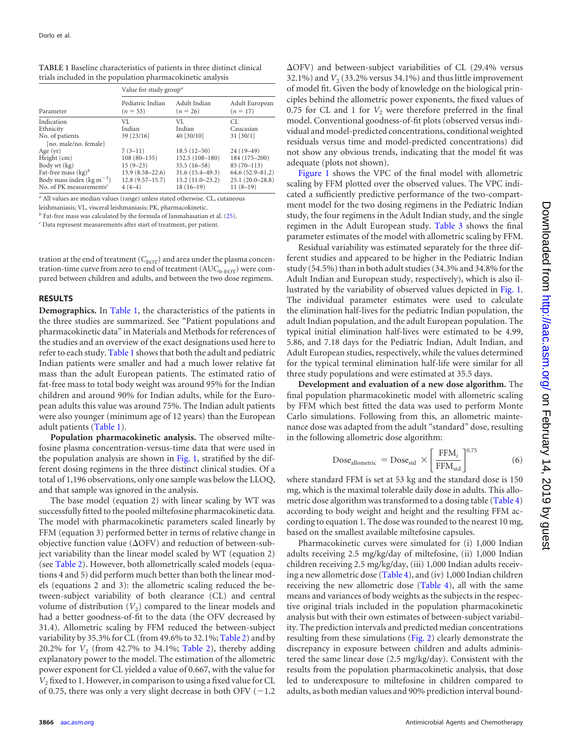|                                        | Value for study group <sup>a</sup> |                            |                              |  |  |  |  |
|----------------------------------------|------------------------------------|----------------------------|------------------------------|--|--|--|--|
| Parameter                              | Pediatric Indian<br>$(n = 53)$     | Adult Indian<br>$(n = 26)$ | Adult European<br>$(n = 17)$ |  |  |  |  |
| Indication                             | VI.                                | VI.                        | CL.                          |  |  |  |  |
| Ethnicity                              | Indian                             | Indian                     | Caucasian                    |  |  |  |  |
| No. of patients                        | 39 [23/16]                         | 40 $[30/10]$               | $31$ [ $30/1$ ]              |  |  |  |  |
| [no. male/no. female]                  |                                    |                            |                              |  |  |  |  |
| Age $(yr)$                             | $7(3-11)$                          | $18.5(12-50)$              | $24(19-49)$                  |  |  |  |  |
| Height (cm)                            | $108(80-135)$                      | $152.5(108-180)$           | 184 (175-200)                |  |  |  |  |
| Body wt (kg)                           | $15(9-23)$                         | $35.5(16-58)$              | $85(70-113)$                 |  |  |  |  |
| Fat-free mass $(\text{kg})^b$          | $13.9(8.58 - 22.6)$                | $31.6(15.4 - 49.3)$        | $64.6(52.9 - 81.2)$          |  |  |  |  |
| Body mass index ( $\text{kg m}^{-2}$ ) | $12.8(9.57 - 15.7)$                | $15.2(11.0-23.2)$          | $25.1(20.0-28.8)$            |  |  |  |  |
| No. of PK measurements <sup>c</sup>    | $4(4-4)$                           | $18(16-19)$                | $11(8-19)$                   |  |  |  |  |

<span id="page-2-0"></span>**TABLE 1** Baseline characteristics of patients in three distinct clinical trials included in the population pharmacokinetic analysis

*<sup>a</sup>* All values are median values (range) unless stated otherwise. CL, cutaneous

leishmaniasis; VL, visceral leishmaniasis; PK, pharmacokinetic.

 *Fat-free mass was calculated by the formula of Janmahasatian et al.*  $(25)$ *.* 

*<sup>c</sup>* Data represent measurements after start of treatment, per patient.

tration at the end of treatment  $(C_{\rm EOT})$  and area under the plasma concentration-time curve from zero to end of treatment  $(AUC_{0-EOT})$  were compared between children and adults, and between the two dose regimens.

#### **RESULTS**

**Demographics.** In [Table 1,](#page-2-0) the characteristics of the patients in the three studies are summarized. See "Patient populations and pharmacokinetic data" in Materials and Methods for references of the studies and an overview of the exact designations used here to refer to each study. [Table 1](#page-2-0) shows that both the adult and pediatric Indian patients were smaller and had a much lower relative fat mass than the adult European patients. The estimated ratio of fat-free mass to total body weight was around 95% for the Indian children and around 90% for Indian adults, while for the European adults this value was around 75%. The Indian adult patients were also younger (minimum age of 12 years) than the European adult patients [\(Table 1\)](#page-2-0).

**Population pharmacokinetic analysis.** The observed miltefosine plasma concentration-versus-time data that were used in the population analysis are shown in [Fig. 1,](#page-3-0) stratified by the different dosing regimens in the three distinct clinical studies. Of a total of 1,196 observations, only one sample was below the LLOQ, and that sample was ignored in the analysis.

The base model (equation 2) with linear scaling by WT was successfully fitted to the pooled miltefosine pharmacokinetic data. The model with pharmacokinetic parameters scaled linearly by FFM (equation 3) performed better in terms of relative change in objective function value ( $\Delta$ OFV) and reduction of between-subject variability than the linear model scaled by WT (equation 2) (see [Table 2\)](#page-4-0). However, both allometrically scaled models (equations 4 and 5) did perform much better than both the linear models (equations 2 and 3): the allometric scaling reduced the between-subject variability of both clearance (CL) and central volume of distribution  $(V_2)$  compared to the linear models and had a better goodness-of-fit to the data (the OFV decreased by 31.4). Allometric scaling by FFM reduced the between-subject variability by 35.3% for CL (from 49.6% to 32.1%; [Table 2\)](#page-4-0) and by 20.2% for *V*<sub>2</sub> (from 42.7% to 34.1%; [Table 2\)](#page-4-0), thereby adding explanatory power to the model. The estimation of the allometric power exponent for CL yielded a value of 0.667, with the value for *V*<sub>2</sub> fixed to 1. However, in comparison to using a fixed value for CL of 0.75, there was only a very slight decrease in both OFV  $(-1.2)$ 

 $\Delta$ OFV) and between-subject variabilities of CL (29.4% versus 32.1%) and  $V<sub>2</sub>$  (33.2% versus 34.1%) and thus little improvement of model fit. Given the body of knowledge on the biological principles behind the allometric power exponents, the fixed values of 0.75 for CL and 1 for  $V_2$  were therefore preferred in the final model. Conventional goodness-of-fit plots (observed versus individual and model-predicted concentrations, conditional weighted residuals versus time and model-predicted concentrations) did not show any obvious trends, indicating that the model fit was adequate (plots not shown).

[Figure 1](#page-3-0) shows the VPC of the final model with allometric scaling by FFM plotted over the observed values. The VPC indicated a sufficiently predictive performance of the two-compartment model for the two dosing regimens in the Pediatric Indian study, the four regimens in the Adult Indian study, and the single regimen in the Adult European study. [Table 3](#page-4-1) shows the final parameter estimates of the model with allometric scaling by FFM.

Residual variability was estimated separately for the three different studies and appeared to be higher in the Pediatric Indian study (54.5%) than in both adult studies (34.3% and 34.8% for the Adult Indian and European study, respectively), which is also illustrated by the variability of observed values depicted in [Fig. 1.](#page-3-0) The individual parameter estimates were used to calculate the elimination half-lives for the pediatric Indian population, the adult Indian population, and the adult European population. The typical initial elimination half-lives were estimated to be 4.99, 5.86, and 7.18 days for the Pediatric Indian, Adult Indian, and Adult European studies, respectively, while the values determined for the typical terminal elimination half-life were similar for all three study populations and were estimated at 35.5 days.

**Development and evaluation of a new dose algorithm.** The final population pharmacokinetic model with allometric scaling by FFM which best fitted the data was used to perform Monte Carlo simulations. Following from this, an allometric maintenance dose was adapted from the adult "standard" dose, resulting in the following allometric dose algorithm:

$$
Dose_{\text{allowetric}} = Dose_{\text{std}} \times \left[ \frac{\text{FFM}_i}{\text{FFM}_{\text{std}}} \right]^{0.75} \tag{6}
$$

where standard FFM is set at 53 kg and the standard dose is 150 mg, which is the maximal tolerable daily dose in adults. This allometric dose algorithm was transformed to a dosing table [\(Table 4\)](#page-5-0) according to body weight and height and the resulting FFM according to equation 1. The dose was rounded to the nearest 10 mg, based on the smallest available miltefosine capsules.

Pharmacokinetic curves were simulated for (i) 1,000 Indian adults receiving 2.5 mg/kg/day of miltefosine, (ii) 1,000 Indian children receiving 2.5 mg/kg/day, (iii) 1,000 Indian adults receiving a new allometric dose [\(Table 4\)](#page-5-0), and (iv) 1,000 Indian children receiving the new allometric dose [\(Table 4\)](#page-5-0), all with the same means and variances of body weights as the subjects in the respective original trials included in the population pharmacokinetic analysis but with their own estimates of between-subject variability. The prediction intervals and predicted median concentrations resulting from these simulations [\(Fig. 2\)](#page-6-0) clearly demonstrate the discrepancy in exposure between children and adults administered the same linear dose (2.5 mg/kg/day). Consistent with the results from the population pharmacokinetic analysis, that dose led to underexposure to miltefosine in children compared to adults, as both median values and 90% prediction interval bound-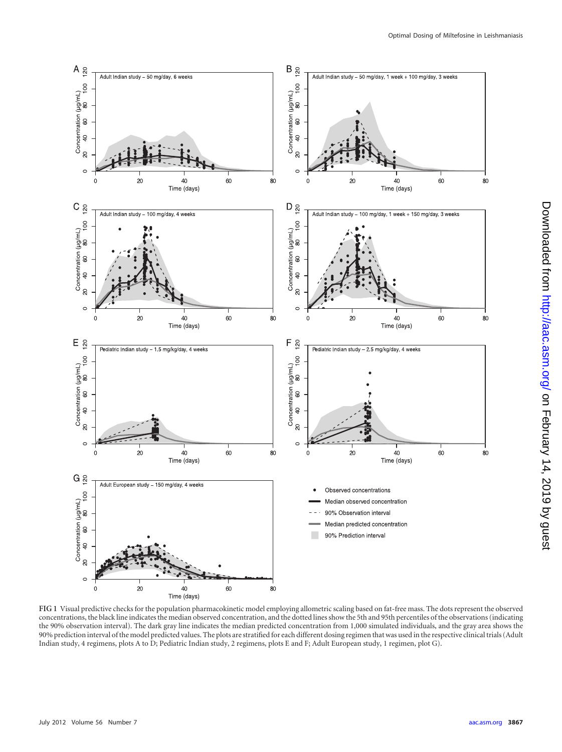

<span id="page-3-0"></span>**FIG 1** Visual predictive checks for the population pharmacokinetic model employing allometric scaling based on fat-free mass. The dots represent the observed concentrations, the black line indicates the median observed concentration, and the dotted lines show the 5th and 95th percentiles of the observations (indicating the 90% observation interval). The dark gray line indicates the median predicted concentration from 1,000 simulated individuals, and the gray area shows the 90% prediction interval of the model predicted values. The plots are stratified for each different dosing regimen that was used in the respective clinical trials (Adult Indian study, 4 regimens, plots A to D; Pediatric Indian study, 2 regimens, plots E and F; Adult European study, 1 regimen, plot G).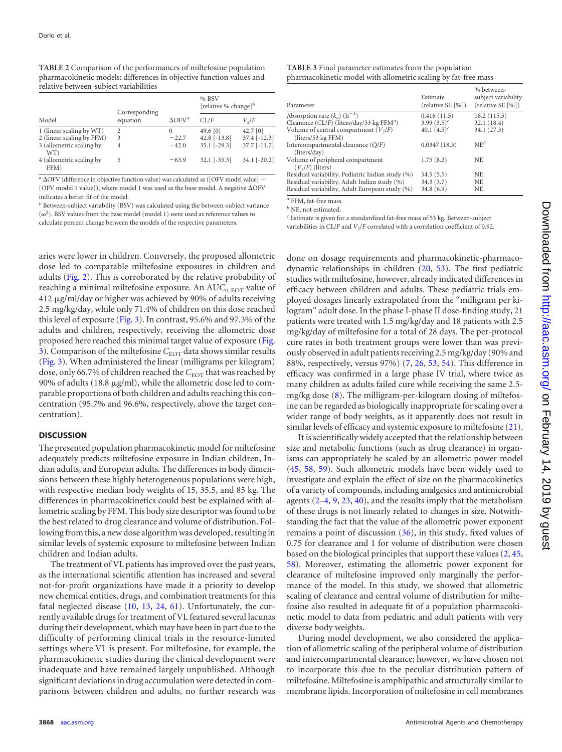<span id="page-4-0"></span>**TABLE 2** Comparison of the performances of miltefosine population pharmacokinetic models: differences in objective function values and relative between-subject variabilities

|                                  | Corresponding  |                           | % BSV<br>[relative % change] <sup>b</sup> |                |  |  |
|----------------------------------|----------------|---------------------------|-------------------------------------------|----------------|--|--|
| Model                            | equation       | $\Delta$ OFV <sup>a</sup> | $CI$ $/F$                                 | $V_{\gamma}/F$ |  |  |
| 1 (linear scaling by WT)         | $\mathfrak{D}$ | $\theta$                  | 49.6 [0]                                  | $42.7$ [0]     |  |  |
| 2 (linear scaling by FFM)        | 3              | $-22.7$                   | 42.8 $[-13.8]$                            | $37.4$ [-12.3] |  |  |
| 3 (allometric scaling by<br>WT)  | 4              | $-42.0$                   | $35.1$ [-29.3]                            | $37.7$ [-11.7] |  |  |
| 4 (allometric scaling by<br>FFM) | 5              | $-63.9$                   | $32.1$ [-35.3]                            | $34.1$ [-20.2] |  |  |

<sup>a</sup>  $\triangle$ OFV (difference in objective function value) was calculated as ([OFV model value] [OFV model 1 value]), where model 1 was used as the base model. A negative  $\Delta$ OFV indicates a better fit of the model.

*<sup>b</sup>* Between-subject variability (BSV) was calculated using the between-subject variance  $(\omega^2)$ . BSV values from the base model (model 1) were used as reference values to calculate percent change between the models of the respective parameters.

aries were lower in children. Conversely, the proposed allometric dose led to comparable miltefosine exposures in children and adults [\(Fig. 2\)](#page-6-0). This is corroborated by the relative probability of reaching a minimal miltefosine exposure. An  $\text{AUC}_{0\text{-EOT}}$  value of 412 µg/ml/day or higher was achieved by 90% of adults receiving 2.5 mg/kg/day, while only 71.4% of children on this dose reached this level of exposure [\(Fig. 3\)](#page-6-1). In contrast, 95.6% and 97.3% of the adults and children, respectively, receiving the allometric dose proposed here reached this minimal target value of exposure [\(Fig.](#page-6-1) [3\)](#page-6-1). Comparison of the miltefosine C<sub>EOT</sub> data shows similar results [\(Fig. 3\)](#page-6-1). When administered the linear (milligrams per kilogram) dose, only 66.7% of children reached the *C*<sub>EOT</sub> that was reached by 90% of adults (18.8  $\mu$ g/ml), while the allometric dose led to comparable proportions of both children and adults reaching this concentration (95.7% and 96.6%, respectively, above the target concentration).

#### **DISCUSSION**

The presented population pharmacokinetic model for miltefosine adequately predicts miltefosine exposure in Indian children, Indian adults, and European adults. The differences in body dimensions between these highly heterogeneous populations were high, with respective median body weights of 15, 35.5, and 85 kg. The differences in pharmacokinetics could best be explained with allometric scaling by FFM. This body size descriptor was found to be the best related to drug clearance and volume of distribution. Following from this, a new dose algorithm was developed, resulting in similar levels of systemic exposure to miltefosine between Indian children and Indian adults.

The treatment of VL patients has improved over the past years, as the international scientific attention has increased and several not-for-profit organizations have made it a priority to develop new chemical entities, drugs, and combination treatments for this fatal neglected disease [\(10,](#page-7-19) [13,](#page-7-20) [24,](#page-7-21) [61\)](#page-8-17). Unfortunately, the currently available drugs for treatment of VL featured several lacunas during their development, which may have been in part due to the difficulty of performing clinical trials in the resource-limited settings where VL is present. For miltefosine, for example, the pharmacokinetic studies during the clinical development were inadequate and have remained largely unpublished. Although significant deviations in drug accumulation were detected in comparisons between children and adults, no further research was

<span id="page-4-1"></span>

| TABLE 3 Final parameter estimates from the population          |  |
|----------------------------------------------------------------|--|
| pharmacokinetic model with allometric scaling by fat-free mass |  |

| Parameter                                             | Estimate<br>(relative SE [%]) | % between-<br>subject variability<br>(relative SE [%]) |
|-------------------------------------------------------|-------------------------------|--------------------------------------------------------|
| Absorption rate $(k_a)$ (h <sup>-1</sup> )            | 0.416(11.5)                   | 18.2(115.5)                                            |
| Clearance (CL/F) (liters/day/53 kg FFM <sup>a</sup> ) | 3.99 $(3.5)^c$                | 32.1(18.4)                                             |
| Volume of central compartment $(V2/F)$                | 40.1 $(4.5)^c$                | 34.1 (27.3)                                            |
| (liters/53 kg FFM)                                    |                               |                                                        |
| Intercompartmental clearance (Q/F)                    | 0.0347(18.3)                  | $NE^b$                                                 |
| (liters/day)                                          |                               |                                                        |
| Volume of peripheral compartment                      | 1.75(8.2)                     | NE                                                     |
| $(V3/F)$ (liters)                                     |                               |                                                        |
| Residual variability, Pediatric Indian study (%)      | 54.5(5.5)                     | <b>NE</b>                                              |
| Residual variability, Adult Indian study (%)          | 34.3(3.7)                     | NE                                                     |
| Residual variability, Adult European study (%)        | 34.8(6.9)                     | NE                                                     |
|                                                       |                               |                                                        |

*<sup>a</sup>* FFM, fat-free mass.

*<sup>b</sup>* NE, not estimated.

*<sup>c</sup>* Estimate is given for a standardized fat-free mass of 53 kg. Between-subject variabilities in CL/*F* and  $V_2$ /*F* correlated with a correlation coefficient of 0.92.

done on dosage requirements and pharmacokinetic-pharmacodynamic relationships in children [\(20,](#page-7-6) [53\)](#page-8-14). The first pediatric studies with miltefosine, however, already indicated differences in efficacy between children and adults. These pediatric trials employed dosages linearly extrapolated from the "milligram per kilogram" adult dose. In the phase I-phase II dose-finding study, 21 patients were treated with 1.5 mg/kg/day and 18 patients with 2.5 mg/kg/day of miltefosine for a total of 28 days. The per-protocol cure rates in both treatment groups were lower than was previously observed in adult patients receiving 2.5 mg/kg/day (90% and 88%, respectively, versus 97%) [\(7,](#page-7-4) [26,](#page-7-1) [53,](#page-8-14) [54\)](#page-8-6). This difference in efficacy was confirmed in a large phase IV trial, where twice as many children as adults failed cure while receiving the same 2.5 mg/kg dose [\(8\)](#page-7-0). The milligram-per-kilogram dosing of miltefosine can be regarded as biologically inappropriate for scaling over a wider range of body weights, as it apparently does not result in similar levels of efficacy and systemic exposure to miltefosine [\(21\)](#page-7-22).

It is scientifically widely accepted that the relationship between size and metabolic functions (such as drug clearance) in organisms can appropriately be scaled by an allometric power model [\(45,](#page-8-18) [58,](#page-8-16) [59\)](#page-8-19). Such allometric models have been widely used to investigate and explain the effect of size on the pharmacokinetics of a variety of compounds, including analgesics and antimicrobial agents [\(2](#page-7-15)[–4,](#page-7-23) [9,](#page-7-24) [23,](#page-7-25) [40\)](#page-8-20), and the results imply that the metabolism of these drugs is not linearly related to changes in size. Notwithstanding the fact that the value of the allometric power exponent remains a point of discussion [\(36\)](#page-8-21), in this study, fixed values of 0.75 for clearance and 1 for volume of distribution were chosen based on the biological principles that support these values [\(2,](#page-7-15) [45,](#page-8-18) [58\)](#page-8-16). Moreover, estimating the allometric power exponent for clearance of miltefosine improved only marginally the performance of the model. In this study, we showed that allometric scaling of clearance and central volume of distribution for miltefosine also resulted in adequate fit of a population pharmacokinetic model to data from pediatric and adult patients with very diverse body weights.

During model development, we also considered the application of allometric scaling of the peripheral volume of distribution and intercompartmental clearance; however, we have chosen not to incorporate this due to the peculiar distribution pattern of miltefosine. Miltefosine is amphipathic and structurally similar to membrane lipids. Incorporation of miltefosine in cell membranes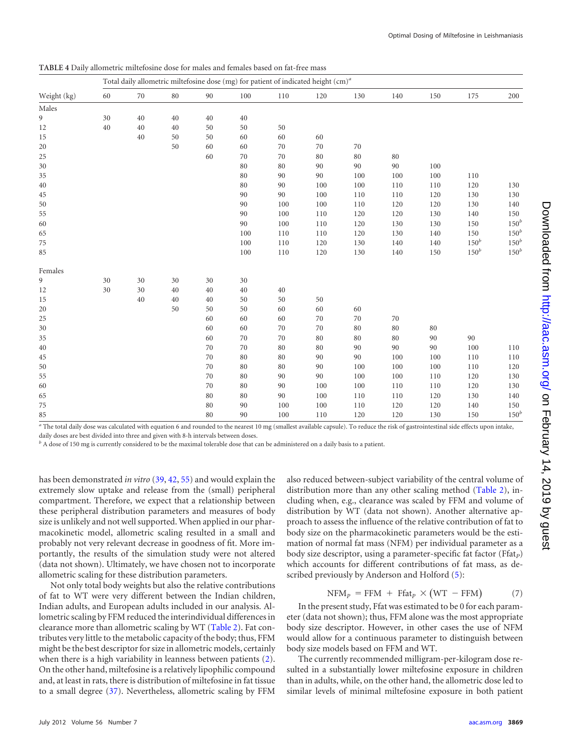|             |        | Total daily allometric miltefosine dose (mg) for patient of indicated height (cm) <sup>a</sup> |    |    |        |        |     |     |     |     |         |         |
|-------------|--------|------------------------------------------------------------------------------------------------|----|----|--------|--------|-----|-----|-----|-----|---------|---------|
| Weight (kg) | 60     | 70                                                                                             | 80 | 90 | 100    | 110    | 120 | 130 | 140 | 150 | 175     | 200     |
| Males       |        |                                                                                                |    |    |        |        |     |     |     |     |         |         |
| 9           | 30     | 40                                                                                             | 40 | 40 | 40     |        |     |     |     |     |         |         |
| 12          | $40\,$ | 40                                                                                             | 40 | 50 | 50     | 50     |     |     |     |     |         |         |
| 15          |        | 40                                                                                             | 50 | 50 | 60     | 60     | 60  |     |     |     |         |         |
| 20          |        |                                                                                                | 50 | 60 | 60     | 70     | 70  | 70  |     |     |         |         |
| 25          |        |                                                                                                |    | 60 | 70     | 70     | 80  | 80  | 80  |     |         |         |
| 30          |        |                                                                                                |    |    | $80\,$ | 80     | 90  | 90  | 90  | 100 |         |         |
| 35          |        |                                                                                                |    |    | $80\,$ | 90     | 90  | 100 | 100 | 100 | 110     |         |
| $40\,$      |        |                                                                                                |    |    | $80\,$ | 90     | 100 | 100 | 110 | 110 | 120     | 130     |
| 45          |        |                                                                                                |    |    | 90     | 90     | 100 | 110 | 110 | 120 | 130     | 130     |
| 50          |        |                                                                                                |    |    | 90     | 100    | 100 | 110 | 120 | 120 | 130     | 140     |
| 55          |        |                                                                                                |    |    | 90     | 100    | 110 | 120 | 120 | 130 | 140     | 150     |
| 60          |        |                                                                                                |    |    | 90     | 100    | 110 | 120 | 130 | 130 | 150     | $150^b$ |
| 65          |        |                                                                                                |    |    | 100    | 110    | 110 | 120 | 130 | 140 | 150     | $150^b$ |
| 75          |        |                                                                                                |    |    | 100    | 110    | 120 | 130 | 140 | 140 | $150^b$ | $150^b$ |
| 85          |        |                                                                                                |    |    | 100    | 110    | 120 | 130 | 140 | 150 | $150^b$ | $150^b$ |
| Females     |        |                                                                                                |    |    |        |        |     |     |     |     |         |         |
| 9           | 30     | 30                                                                                             | 30 | 30 | 30     |        |     |     |     |     |         |         |
| 12          | 30     | 30                                                                                             | 40 | 40 | 40     | $40\,$ |     |     |     |     |         |         |
| 15          |        | 40                                                                                             | 40 | 40 | 50     | 50     | 50  |     |     |     |         |         |
| 20          |        |                                                                                                | 50 | 50 | 50     | 60     | 60  | 60  |     |     |         |         |
| 25          |        |                                                                                                |    | 60 | 60     | 60     | 70  | 70  | 70  |     |         |         |
| 30          |        |                                                                                                |    | 60 | 60     | $70\,$ | 70  | 80  | 80  | 80  |         |         |
| 35          |        |                                                                                                |    | 60 | 70     | $70\,$ | 80  | 80  | 80  | 90  | 90      |         |
| $40\,$      |        |                                                                                                |    | 70 | 70     | 80     | 80  | 90  | 90  | 90  | 100     | 110     |
| 45          |        |                                                                                                |    | 70 | $80\,$ | $80\,$ | 90  | 90  | 100 | 100 | 110     | 110     |
| 50          |        |                                                                                                |    | 70 | $80\,$ | 80     | 90  | 100 | 100 | 100 | 110     | 120     |
| 55          |        |                                                                                                |    | 70 | 80     | 90     | 90  | 100 | 100 | 110 | 120     | 130     |
| 60          |        |                                                                                                |    | 70 | 80     | 90     | 100 | 100 | 110 | 110 | 120     | 130     |
| 65          |        |                                                                                                |    | 80 | $80\,$ | 90     | 100 | 110 | 110 | 120 | 130     | 140     |
| 75          |        |                                                                                                |    | 80 | 90     | 100    | 100 | 110 | 120 | 120 | 140     | 150     |
| 85          |        |                                                                                                |    | 80 | 90     | 100    | 110 | 120 | 120 | 130 | 150     | $150^b$ |

<span id="page-5-0"></span>**TABLE 4** Daily allometric miltefosine dose for males and females based on fat-free mass

*<sup>a</sup>* The total daily dose was calculated with equation 6 and rounded to the nearest 10 mg (smallest available capsule). To reduce the risk of gastrointestinal side effects upon intake, daily doses are best divided into three and given with 8-h intervals between doses.

*<sup>b</sup>* A dose of 150 mg is currently considered to be the maximal tolerable dose that can be administered on a daily basis to a patient.

has been demonstrated *in vitro* [\(39,](#page-8-22) [42,](#page-8-23) [55\)](#page-8-24) and would explain the extremely slow uptake and release from the (small) peripheral compartment. Therefore, we expect that a relationship between these peripheral distribution parameters and measures of body size is unlikely and not well supported. When applied in our pharmacokinetic model, allometric scaling resulted in a small and probably not very relevant decrease in goodness of fit. More importantly, the results of the simulation study were not altered (data not shown). Ultimately, we have chosen not to incorporate allometric scaling for these distribution parameters.

Not only total body weights but also the relative contributions of fat to WT were very different between the Indian children, Indian adults, and European adults included in our analysis. Allometric scaling by FFM reduced the interindividual differences in clearance more than allometric scaling by WT [\(Table 2\)](#page-4-0). Fat contributes very little to the metabolic capacity of the body; thus, FFM might be the best descriptor for size in allometric models, certainly when there is a high variability in leanness between patients [\(2\)](#page-7-15). On the other hand, miltefosine is a relatively lipophilic compound and, at least in rats, there is distribution of miltefosine in fat tissue to a small degree [\(37\)](#page-8-25). Nevertheless, allometric scaling by FFM

also reduced between-subject variability of the central volume of distribution more than any other scaling method [\(Table 2\)](#page-4-0), including when, e.g., clearance was scaled by FFM and volume of distribution by WT (data not shown). Another alternative approach to assess the influence of the relative contribution of fat to body size on the pharmacokinetic parameters would be the estimation of normal fat mass (NFM) per individual parameter as a body size descriptor, using a parameter-specific fat factor (Ffat<sub>p</sub>) which accounts for different contributions of fat mass, as described previously by Anderson and Holford  $(5)$ :

$$
NFMP = FFM + FfatP × (WT - FFM)
$$
 (7)

In the present study, Ffat was estimated to be 0 for each parameter (data not shown); thus, FFM alone was the most appropriate body size descriptor. However, in other cases the use of NFM would allow for a continuous parameter to distinguish between body size models based on FFM and WT.

The currently recommended milligram-per-kilogram dose resulted in a substantially lower miltefosine exposure in children than in adults, while, on the other hand, the allometric dose led to similar levels of minimal miltefosine exposure in both patient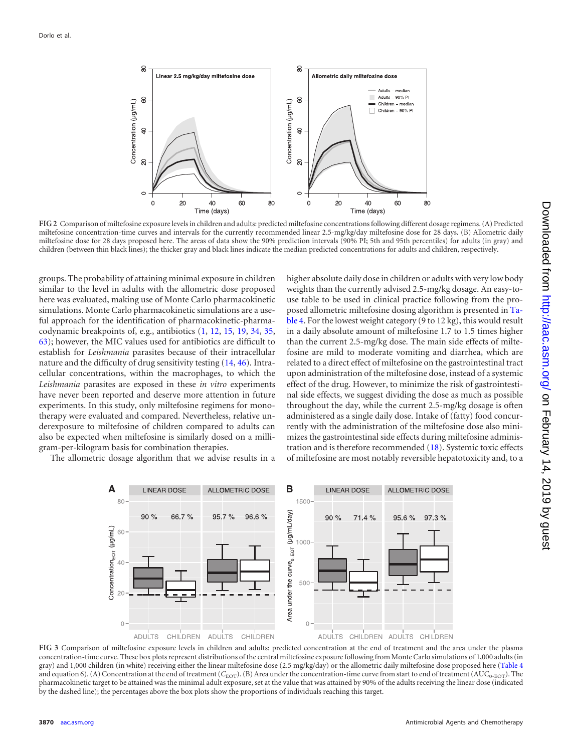

<span id="page-6-0"></span>**FIG 2** Comparison of miltefosine exposure levels in children and adults: predicted miltefosine concentrations following different dosage regimens. (A) Predicted miltefosine concentration-time curves and intervals for the currently recommended linear 2.5-mg/kg/day miltefosine dose for 28 days. (B) Allometric daily miltefosine dose for 28 days proposed here. The areas of data show the 90% prediction intervals (90% PI; 5th and 95th percentiles) for adults (in gray) and children (between thin black lines); the thicker gray and black lines indicate the median predicted concentrations for adults and children, respectively.

groups. The probability of attaining minimal exposure in children similar to the level in adults with the allometric dose proposed here was evaluated, making use of Monte Carlo pharmacokinetic simulations. Monte Carlo pharmacokinetic simulations are a useful approach for the identification of pharmacokinetic-pharmacodynamic breakpoints of, e.g., antibiotics [\(1,](#page-7-27) [12,](#page-7-28) [15,](#page-7-29) [19,](#page-7-30) [34,](#page-7-31) [35,](#page-8-26) [63\)](#page-8-27); however, the MIC values used for antibiotics are difficult to establish for *Leishmania* parasites because of their intracellular nature and the difficulty of drug sensitivity testing [\(14,](#page-7-32) [46\)](#page-8-28). Intracellular concentrations, within the macrophages, to which the *Leishmania* parasites are exposed in these *in vitro* experiments have never been reported and deserve more attention in future experiments. In this study, only miltefosine regimens for monotherapy were evaluated and compared. Nevertheless, relative underexposure to miltefosine of children compared to adults can also be expected when miltefosine is similarly dosed on a milligram-per-kilogram basis for combination therapies.

The allometric dosage algorithm that we advise results in a

higher absolute daily dose in children or adults with very low body weights than the currently advised 2.5-mg/kg dosage. An easy-touse table to be used in clinical practice following from the proposed allometric miltefosine dosing algorithm is presented in [Ta](#page-5-0)[ble 4.](#page-5-0) For the lowest weight category (9 to 12 kg), this would result in a daily absolute amount of miltefosine 1.7 to 1.5 times higher than the current 2.5-mg/kg dose. The main side effects of miltefosine are mild to moderate vomiting and diarrhea, which are related to a direct effect of miltefosine on the gastrointestinal tract upon administration of the miltefosine dose, instead of a systemic effect of the drug. However, to minimize the risk of gastrointestinal side effects, we suggest dividing the dose as much as possible throughout the day, while the current 2.5-mg/kg dosage is often administered as a single daily dose. Intake of (fatty) food concurrently with the administration of the miltefosine dose also minimizes the gastrointestinal side effects during miltefosine administration and is therefore recommended [\(18\)](#page-7-33). Systemic toxic effects of miltefosine are most notably reversible hepatotoxicity and, to a



<span id="page-6-1"></span>**FIG 3** Comparison of miltefosine exposure levels in children and adults: predicted concentration at the end of treatment and the area under the plasma concentration-time curve. These box plots represent distributions of the central miltefosine exposure following from Monte Carlo simulations of 1,000 adults (in gray) and 1,000 children (in white) receiving either the linear miltefosine dose (2.5 mg/kg/day) or the allometric daily miltefosine dose proposed here [\(Table 4](#page-5-0) and equation 6). (A) Concentration at the end of treatment ( $C_{\text{EOT}}$ ). (B) Area under the concentration-time curve from start to end of treatment (AUC<sub>0-EOT</sub>). The pharmacokinetic target to be attained was the minimal adult exposure, set at the value that was attained by 90% of the adults receiving the linear dose (indicated by the dashed line); the percentages above the box plots show the proportions of individuals reaching this target.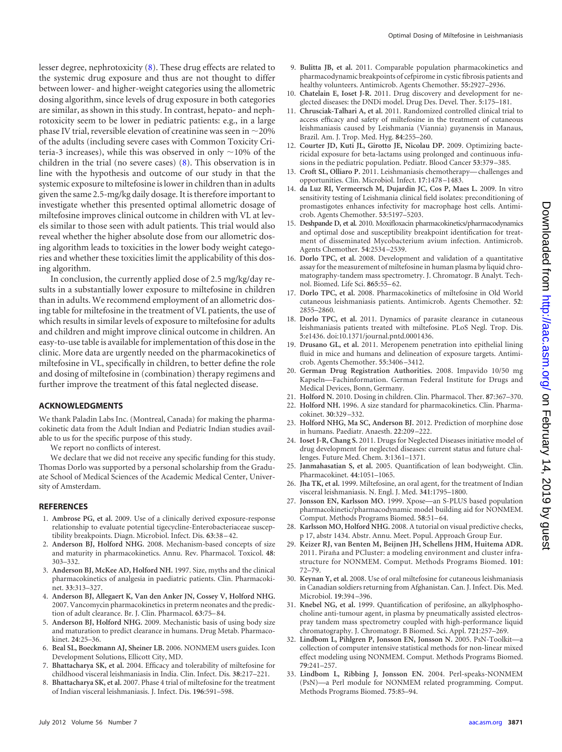<span id="page-7-31"></span>lesser degree, nephrotoxicity [\(8\)](#page-7-0). These drug effects are related to the systemic drug exposure and thus are not thought to differ between lower- and higher-weight categories using the allometric dosing algorithm, since levels of drug exposure in both categories are similar, as shown in this study. In contrast, hepato- and nephrotoxicity seem to be lower in pediatric patients: e.g., in a large phase IV trial, reversible elevation of creatinine was seen in  $\sim$ 20% of the adults (including severe cases with Common Toxicity Criteria-3 increases), while this was observed in only  $\sim$ 10% of the children in the trial (no severe cases) [\(8\)](#page-7-0). This observation is in line with the hypothesis and outcome of our study in that the systemic exposure to miltefosine is lower in children than in adults given the same 2.5-mg/kg daily dosage. It is therefore important to investigate whether this presented optimal allometric dosage of miltefosine improves clinical outcome in children with VL at levels similar to those seen with adult patients. This trial would also reveal whether the higher absolute dose from our allometric dosing algorithm leads to toxicities in the lower body weight categories and whether these toxicities limit the applicability of this dosing algorithm.

In conclusion, the currently applied dose of 2.5 mg/kg/day results in a substantially lower exposure to miltefosine in children than in adults. We recommend employment of an allometric dosing table for miltefosine in the treatment of VL patients, the use of which results in similar levels of exposure to miltefosine for adults and children and might improve clinical outcome in children. An easy-to-use table is available for implementation of this dose in the clinic. More data are urgently needed on the pharmacokinetics of miltefosine in VL, specifically in children, to better define the role and dosing of miltefosine in (combination) therapy regimens and further improve the treatment of this fatal neglected disease.

### **ACKNOWLEDGMENTS**

We thank Paladin Labs Inc. (Montreal, Canada) for making the pharmacokinetic data from the Adult Indian and Pediatric Indian studies available to us for the specific purpose of this study.

We report no conflicts of interest.

We declare that we did not receive any specific funding for this study. Thomas Dorlo was supported by a personal scholarship from the Graduate School of Medical Sciences of the Academic Medical Center, University of Amsterdam.

#### <span id="page-7-27"></span>**REFERENCES**

- 1. **Ambrose PG, et al.** 2009. Use of a clinically derived exposure-response relationship to evaluate potential tigecycline-Enterobacteriaceae susceptibility breakpoints. Diagn. Microbiol. Infect. Dis. **63**:38 – 42.
- <span id="page-7-15"></span>2. **Anderson BJ, Holford NHG.** 2008. Mechanism-based concepts of size and maturity in pharmacokinetics. Annu. Rev. Pharmacol. Toxicol. **48**: 303–332.
- <span id="page-7-16"></span>3. **Anderson BJ, McKee AD, Holford NH.** 1997. Size, myths and the clinical pharmacokinetics of analgesia in paediatric patients. Clin. Pharmacokinet. **33**:313–327.
- <span id="page-7-23"></span>4. **Anderson BJ, Allegaert K, Van den Anker JN, Cossey V, Holford NHG.** 2007. Vancomycin pharmacokinetics in preterm neonates and the prediction of adult clearance. Br. J. Clin. Pharmacol. **63**:75– 84.
- <span id="page-7-26"></span>5. **Anderson BJ, Holford NHG.** 2009. Mechanistic basis of using body size and maturation to predict clearance in humans. Drug Metab. Pharmacokinet. **24**:25–36.
- <span id="page-7-9"></span>6. **Beal SL, Boeckmann AJ, Sheiner LB.** 2006. NONMEM users guides. Icon Development Solutions, Ellicott City, MD.
- <span id="page-7-4"></span>7. **Bhattacharya SK, et al.** 2004. Efficacy and tolerability of miltefosine for childhood visceral leishmaniasis in India. Clin. Infect. Dis. **38**:217–221.
- <span id="page-7-0"></span>8. **Bhattacharya SK, et al.** 2007. Phase 4 trial of miltefosine for the treatment of Indian visceral leishmaniasis. J. Infect. Dis. **196**:591–598.
- <span id="page-7-24"></span>9. **Bulitta JB, et al.** 2011. Comparable population pharmacokinetics and pharmacodynamic breakpoints of cefpirome in cystic fibrosis patients and healthy volunteers. Antimicrob. Agents Chemother. **55**:2927–2936.
- <span id="page-7-19"></span>10. **Chatelain E, Ioset J-R.** 2011. Drug discovery and development for neglected diseases: the DNDi model. Drug Des. Devel. Ther. **5**:175–181.
- <span id="page-7-2"></span>11. **Chrusciak-Talhari A, et al.** 2011. Randomized controlled clinical trial to access efficacy and safety of miltefosine in the treatment of cutaneous leishmaniasis caused by Leishmania (Viannia) guyanensis in Manaus, Brazil. Am. J. Trop. Med. Hyg. **84**:255–260.
- <span id="page-7-28"></span>12. **Courter JD, Kuti JL, Girotto JE, Nicolau DP.** 2009. Optimizing bactericidal exposure for beta-lactams using prolonged and continuous infusions in the pediatric population. Pediatr. Blood Cancer **53**:379 –385.
- <span id="page-7-20"></span>13. **Croft SL, Olliaro P.** 2011. Leishmaniasis chemotherapy— challenges and opportunities. Clin. Microbiol. Infect. **17**:1478 –1483.
- <span id="page-7-32"></span>14. **da Luz RI, Vermeersch M, Dujardin JC, Cos P, Maes L.** 2009. In vitro sensitivity testing of Leishmania clinical field isolates: preconditioning of promastigotes enhances infectivity for macrophage host cells. Antimicrob. Agents Chemother. **53**:5197–5203.
- <span id="page-7-29"></span>15. **Deshpande D, et al.** 2010. Moxifloxacin pharmacokinetics/pharmacodynamics and optimal dose and susceptibility breakpoint identification for treatment of disseminated Mycobacterium avium infection. Antimicrob. Agents Chemother. **54**:2534 –2539.
- <span id="page-7-8"></span>16. **Dorlo TPC, et al.** 2008. Development and validation of a quantitative assay for the measurement of miltefosine in human plasma by liquid chromatography-tandem mass spectrometry. J. Chromatogr. B Analyt. Technol. Biomed. Life Sci. **865**:55– 62.
- <span id="page-7-5"></span>17. **Dorlo TPC, et al.** 2008. Pharmacokinetics of miltefosine in Old World cutaneous leishmaniasis patients. Antimicrob. Agents Chemother. **52**: 2855–2860.
- <span id="page-7-33"></span>18. **Dorlo TPC, et al.** 2011. Dynamics of parasite clearance in cutaneous leishmaniasis patients treated with miltefosine. PLoS Negl. Trop. Dis. **5**:e1436. doi:10.1371/journal.pntd.0001436.
- <span id="page-7-30"></span>19. **Drusano GL, et al.** 2011. Meropenem penetration into epithelial lining fluid in mice and humans and delineation of exposure targets. Antimicrob. Agents Chemother. **55**:3406 –3412.
- <span id="page-7-6"></span>20. **German Drug Registration Authorities.** 2008. Impavido 10/50 mg Kapseln—Fachinformation. German Federal Institute for Drugs and Medical Devices, Bonn, Germany.
- <span id="page-7-22"></span>21. **Holford N.** 2010. Dosing in children. Clin. Pharmacol. Ther. **87**:367–370.
- <span id="page-7-17"></span>22. **Holford NH.** 1996. A size standard for pharmacokinetics. Clin. Pharmacokinet. **30**:329 –332.
- <span id="page-7-25"></span>23. **Holford NHG, Ma SC, Anderson BJ.** 2012. Prediction of morphine dose in humans. Paediatr. Anaesth. **22**:209 –222.
- <span id="page-7-21"></span>24. **Ioset J-R, Chang S.** 2011. Drugs for Neglected Diseases initiative model of drug development for neglected diseases: current status and future challenges. Future Med. Chem. **3**:1361–1371.
- <span id="page-7-14"></span>25. **Janmahasatian S, et al.** 2005. Quantification of lean bodyweight. Clin. Pharmacokinet. **44**:1051–1065.
- <span id="page-7-1"></span>26. **Jha TK, et al.** 1999. Miltefosine, an oral agent, for the treatment of Indian visceral leishmaniasis. N. Engl. J. Med. **341**:1795–1800.
- <span id="page-7-13"></span>27. **Jonsson EN, Karlsson MO.** 1999. Xpose—an S-PLUS based population pharmacokinetic/pharmacodynamic model building aid for NONMEM. Comput. Methods Programs Biomed. 58:51-64.
- <span id="page-7-18"></span>28. **Karlsson MO, Holford NHG.** 2008. A tutorial on visual predictive checks, p 17, abstr 1434. Abstr. Annu. Meet. Popul. Approach Group Eur.
- <span id="page-7-12"></span>29. **Keizer RJ, van Benten M, Beijnen JH, Schellens JHM, Huitema ADR.** 2011. Piraña and PCluster: a modeling environment and cluster infrastructure for NONMEM. Comput. Methods Programs Biomed. **101**: 72–79.
- <span id="page-7-3"></span>30. **Keynan Y, et al.** 2008. Use of oral miltefosine for cutaneous leishmaniasis in Canadian soldiers returning from Afghanistan. Can. J. Infect. Dis. Med. Microbiol. **19**:394 –396.
- <span id="page-7-7"></span>31. **Knebel NG, et al.** 1999. Quantification of perifosine, an alkylphosphocholine anti-tumour agent, in plasma by pneumatically assisted electrospray tandem mass spectrometry coupled with high-performance liquid chromatography. J. Chromatogr. B Biomed. Sci. Appl. **721**:257–269.
- <span id="page-7-10"></span>32. **Lindbom L, Pihlgren P, Jonsson EN, Jonsson N.** 2005. PsN-Toolkit—a collection of computer intensive statistical methods for non-linear mixed effect modeling using NONMEM. Comput. Methods Programs Biomed. **79**:241–257.
- <span id="page-7-11"></span>33. **Lindbom L, Ribbing J, Jonsson EN.** 2004. Perl-speaks-NONMEM (PsN)—a Perl module for NONMEM related programming. Comput. Methods Programs Biomed. **75**:85–94.